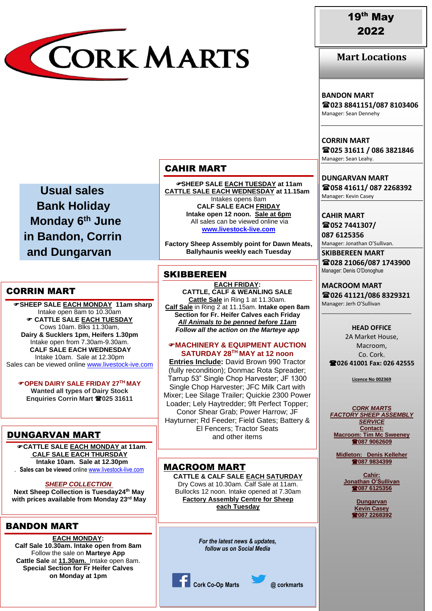

**Mart Locations**

### **BANDON MART**

**023 8841151/087 8103406** Manager: Sean Dennehy

**CORRIN MART 025 31611 / 086 3821846** Manager: Sean Leahy.

**DUNGARVAN MART 058 41611/ 087 2268392** Manager: Kevin Casey

**CAHIR MART 052 7441307/**

**087 6125356**

Manager: Jonathan O'Sullivan. **SKIBBEREEN MART**

**028 21066/087 1743900** Manager: Denis O'Donoghue

**MACROOM MART 026 41121/086 8329321** Manager: Jerh O'Sullivan

\_\_\_\_\_\_\_\_\_\_\_\_\_\_\_\_\_\_\_\_\_\_\_\_\_\_\_\_\_\_\_

**HEAD OFFICE** 2A Market House, Macroom, Co. Cork. **026 41001 Fax: 026 42555**

**Licence No 002369**

*CORK MARTS FACTORY SHEEP ASSEMBLY SERVICE* **Contact: Macroom: Tim Mc Sweeney 087 9062609**

**Midleton: Denis Kelleher 087 9834399**

> **Cahir: Jonathan O'Sullivan 087 6125356**

> > **Dungarvan Kevin Casey 087 2268392**

 **Usual sales Bank Holiday Monday 6th June in Bandon, Corrin and Dungarvan**

## CORRIN MART

 **SHEEP SALE EACH MONDAY 11am sharp** Intake open 8am to 10.30am **CATTLE SALE EACH TUESDAY** Cows 10am. Blks 11.30am, **Dairy & Sucklers 1pm, Heifers 1.30pm** Intake open from 7.30am-9.30am. **CALF SALE EACH WEDNESDAY** Intake 10am. Sale at 12.30pm Sales can be viewed online [www.livestock-ive.com](http://www.livestock-ive.com/)

**OPEN DAIRY SALE FRIDAY 27TH MAY Wanted all types of Dairy Stock Enquiries Corrin Mart 025 31611**

# DUNGARVAN MART

**CATTLE SALE EACH MONDAY at 11am**. IN *JANUARY* 2022 **CALF SALE EACH THURSDAY Intake 10am. Sale at 12.30pm** . **Sales can be viewed** online [www.livestock-live.com](http://www.livestock-live.com/)

*SHEEP COLLECTION*

**Next Sheep Collection is Tuesday24th May with prices available from Monday 23rd May**

# BANDON MART

**EACH MONDAY: Calf Sale 10.30am. Intake open from 8am** Follow the sale on **Marteye App Cattle Sale** at **11.30am.** Intake open 8am. **Special Section for Fr Heifer Calves on Monday at 1pm**

## CAHIR MART

**SHEEP SALE EACH TUESDAY at 11am CATTLE SALE EACH WEDNESDAY at 11.15am** Intakes opens 8am **CALF SALE EACH FRIDAY Intake open 12 noon. Sale at 6pm** All sales can be viewed online via **[www.livestock-live.com](http://www.livestock-live.com/)**

**Factory Sheep Assembly point for Dawn Meats, Ballyhaunis weekly each Tuesday**

# **SKIBBEREEN**

**EACH FRIDAY: CATTLE, CALF & WEANLING SALE Cattle Sale** in Ring 1 at 11.30am. **Calf Sale** in Ring 2 at 11.15am. **Intake open 8am Section for Fr. Heifer Calves each Friday**

*All Animals to be penned before 11am Follow all the action on the Marteye app*

#### **MACHINERY & EQUIPMENT AUCTION SATURDAY 28TH MAY at 12 noon**

**Entries Include:** David Brown 990 Tractor (fully recondition); Donmac Rota Spreader; Tarrup 53" Single Chop Harvester; JF 1300 Single Chop Harvester; JFC Milk Cart with Mixer; Lee Silage Trailer; Quickie 2300 Power Loader; Lely Haytredder; 9ft Perfect Topper; Conor Shear Grab; Power Harrow; JF Hayturner; Rd Feeder; Field Gates; Battery & El Fencers; Tractor Seats and other items

## MACROOM MART

**CATTLE & CALF SALE EACH SATURDAY** Dry Cows at 10.30am. Calf Sale at 11am. Bullocks 12 noon. Intake opened at 7.30am **Factory Assembly Centre for Sheep each Tuesday**

> *For the latest news & updates, follow us on Social Media*